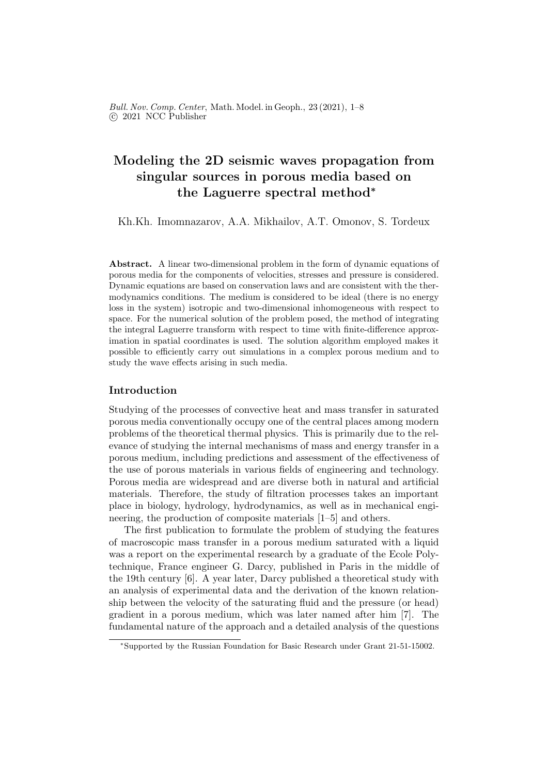Bull. Nov. Comp. Center, Math. Model. in Geoph., 23 (2021), 1–8 c 2021 NCC Publisher

# Modeling the 2D seismic waves propagation from singular sources in porous media based on the Laguerre spectral method<sup>∗</sup>

Kh.Kh. Imomnazarov, A.A. Mikhailov, A.T. Omonov, S. Tordeux

Abstract. A linear two-dimensional problem in the form of dynamic equations of porous media for the components of velocities, stresses and pressure is considered. Dynamic equations are based on conservation laws and are consistent with the thermodynamics conditions. The medium is considered to be ideal (there is no energy loss in the system) isotropic and two-dimensional inhomogeneous with respect to space. For the numerical solution of the problem posed, the method of integrating the integral Laguerre transform with respect to time with finite-difference approximation in spatial coordinates is used. The solution algorithm employed makes it possible to efficiently carry out simulations in a complex porous medium and to study the wave effects arising in such media.

## Introduction

Studying of the processes of convective heat and mass transfer in saturated porous media conventionally occupy one of the central places among modern problems of the theoretical thermal physics. This is primarily due to the relevance of studying the internal mechanisms of mass and energy transfer in a porous medium, including predictions and assessment of the effectiveness of the use of porous materials in various fields of engineering and technology. Porous media are widespread and are diverse both in natural and artificial materials. Therefore, the study of filtration processes takes an important place in biology, hydrology, hydrodynamics, as well as in mechanical engineering, the production of composite materials [1–5] and others.

The first publication to formulate the problem of studying the features of macroscopic mass transfer in a porous medium saturated with a liquid was a report on the experimental research by a graduate of the Ecole Polytechnique, France engineer G. Darcy, published in Paris in the middle of the 19th century [6]. A year later, Darcy published a theoretical study with an analysis of experimental data and the derivation of the known relationship between the velocity of the saturating fluid and the pressure (or head) gradient in a porous medium, which was later named after him [7]. The fundamental nature of the approach and a detailed analysis of the questions

<sup>∗</sup>Supported by the Russian Foundation for Basic Research under Grant 21-51-15002.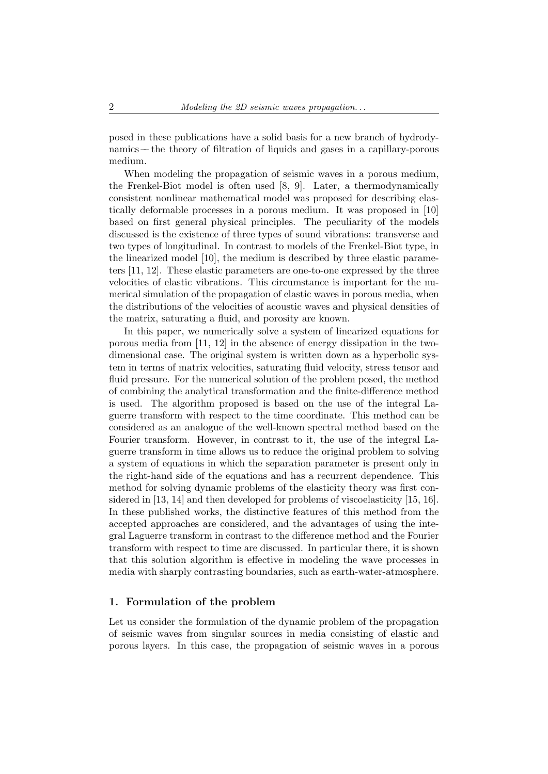posed in these publications have a solid basis for a new branch of hydrodynamics –– the theory of filtration of liquids and gases in a capillary-porous medium.

When modeling the propagation of seismic waves in a porous medium, the Frenkel-Biot model is often used [8, 9]. Later, a thermodynamically consistent nonlinear mathematical model was proposed for describing elastically deformable processes in a porous medium. It was proposed in [10] based on first general physical principles. The peculiarity of the models discussed is the existence of three types of sound vibrations: transverse and two types of longitudinal. In contrast to models of the Frenkel-Biot type, in the linearized model [10], the medium is described by three elastic parameters [11, 12]. These elastic parameters are one-to-one expressed by the three velocities of elastic vibrations. This circumstance is important for the numerical simulation of the propagation of elastic waves in porous media, when the distributions of the velocities of acoustic waves and physical densities of the matrix, saturating a fluid, and porosity are known.

In this paper, we numerically solve a system of linearized equations for porous media from [11, 12] in the absence of energy dissipation in the twodimensional case. The original system is written down as a hyperbolic system in terms of matrix velocities, saturating fluid velocity, stress tensor and fluid pressure. For the numerical solution of the problem posed, the method of combining the analytical transformation and the finite-difference method is used. The algorithm proposed is based on the use of the integral Laguerre transform with respect to the time coordinate. This method can be considered as an analogue of the well-known spectral method based on the Fourier transform. However, in contrast to it, the use of the integral Laguerre transform in time allows us to reduce the original problem to solving a system of equations in which the separation parameter is present only in the right-hand side of the equations and has a recurrent dependence. This method for solving dynamic problems of the elasticity theory was first considered in [13, 14] and then developed for problems of viscoelasticity [15, 16]. In these published works, the distinctive features of this method from the accepted approaches are considered, and the advantages of using the integral Laguerre transform in contrast to the difference method and the Fourier transform with respect to time are discussed. In particular there, it is shown that this solution algorithm is effective in modeling the wave processes in media with sharply contrasting boundaries, such as earth-water-atmosphere.

### 1. Formulation of the problem

Let us consider the formulation of the dynamic problem of the propagation of seismic waves from singular sources in media consisting of elastic and porous layers. In this case, the propagation of seismic waves in a porous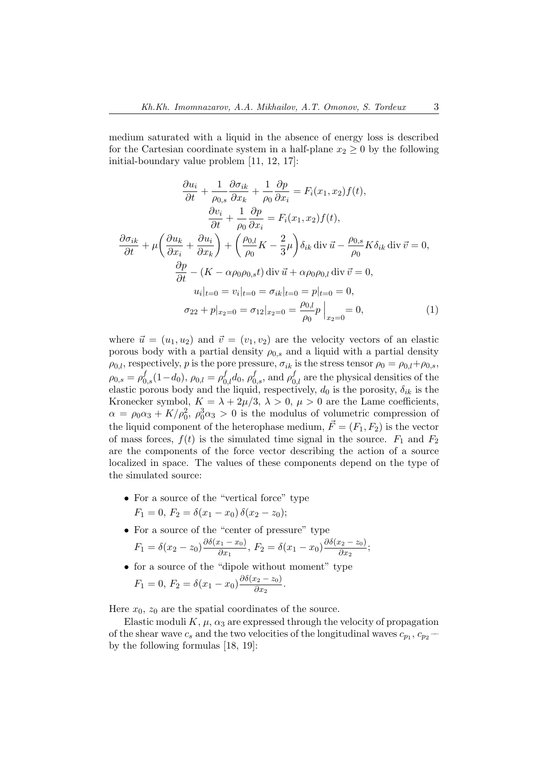medium saturated with a liquid in the absence of energy loss is described for the Cartesian coordinate system in a half-plane  $x_2 \geq 0$  by the following initial-boundary value problem [11, 12, 17]:

$$
\frac{\partial u_i}{\partial t} + \frac{1}{\rho_{0,s}} \frac{\partial \sigma_{ik}}{\partial x_k} + \frac{1}{\rho_0} \frac{\partial p}{\partial x_i} = F_i(x_1, x_2) f(t),
$$
  

$$
\frac{\partial v_i}{\partial t} + \frac{1}{\rho_0} \frac{\partial p}{\partial x_i} = F_i(x_1, x_2) f(t),
$$
  

$$
\frac{\partial \sigma_{ik}}{\partial t} + \mu \left( \frac{\partial u_k}{\partial x_i} + \frac{\partial u_i}{\partial x_k} \right) + \left( \frac{\rho_{0,l}}{\rho_0} K - \frac{2}{3} \mu \right) \delta_{ik} \operatorname{div} \vec{u} - \frac{\rho_{0,s}}{\rho_0} K \delta_{ik} \operatorname{div} \vec{v} = 0,
$$
  

$$
\frac{\partial p}{\partial t} - (K - \alpha \rho_0 \rho_{0,s} t) \operatorname{div} \vec{u} + \alpha \rho_0 \rho_{0,l} \operatorname{div} \vec{v} = 0,
$$
  

$$
u_i|_{t=0} = v_i|_{t=0} = \sigma_{ik}|_{t=0} = p|_{t=0} = 0,
$$
  

$$
\sigma_{22} + p|_{x_2=0} = \sigma_{12}|_{x_2=0} = \frac{\rho_{0,l}}{\rho_0} p|_{x_2=0} = 0,
$$
 (1)

where  $\vec{u} = (u_1, u_2)$  and  $\vec{v} = (v_1, v_2)$  are the velocity vectors of an elastic porous body with a partial density  $\rho_{0,s}$  and a liquid with a partial density  $\rho_{0,l}$ , respectively, p is the pore pressure,  $\sigma_{ik}$  is the stress tensor  $\rho_0 = \rho_{0,l} + \rho_{0,s}$ ,  $\rho_{0,s} = \rho_{0,s}^f(1-d_0), \rho_{0,l} = \rho_{0,l}^f d_0, \rho_{0,s}^f$ , and  $\rho_{0,l}^f$  are the physical densities of the elastic porous body and the liquid, respectively,  $d_0$  is the porosity,  $\delta_{ik}$  is the Kronecker symbol,  $K = \lambda + 2\mu/3$ ,  $\lambda > 0$ ,  $\mu > 0$  are the Lame coefficients,  $\alpha = \rho_0 \alpha_3 + K/\rho_0^2$ ,  $\rho_0^3 \alpha_3 > 0$  is the modulus of volumetric compression of the liquid component of the heterophase medium,  $\vec{F} = (F_1, F_2)$  is the vector of mass forces,  $f(t)$  is the simulated time signal in the source.  $F_1$  and  $F_2$ are the components of the force vector describing the action of a source localized in space. The values of these components depend on the type of the simulated source:

- For a source of the "vertical force" type
	- $F_1 = 0, F_2 = \delta(x_1 x_0) \, \delta(x_2 z_0);$
- For a source of the "center of pressure" type  $F_1 = \delta(x_2 - z_0) \frac{\partial \delta(x_1 - x_0)}{\partial x_1}$  $\frac{(x_1-x_0)}{\partial x_1}, F_2 = \delta(x_1-x_0) \frac{\partial \delta(x_2-z_0)}{\partial x_2}$  $\frac{\partial^2 z}{\partial x_2}$
- $\bullet\,$  for a source of the "dipole without moment" type  $F_1 = 0, F_2 = \delta(x_1 - x_0) \frac{\partial \delta(x_2 - z_0)}{\partial x_0}$  $\frac{1}{2} \frac{1}{2} \frac{1}{2} \frac{1}{2}$ .

Here  $x_0$ ,  $z_0$  are the spatial coordinates of the source.

Elastic moduli  $K, \mu, \alpha_3$  are expressed through the velocity of propagation of the shear wave  $c_s$  and the two velocities of the longitudinal waves  $c_{p_1}, c_{p_2}$ by the following formulas [18, 19]: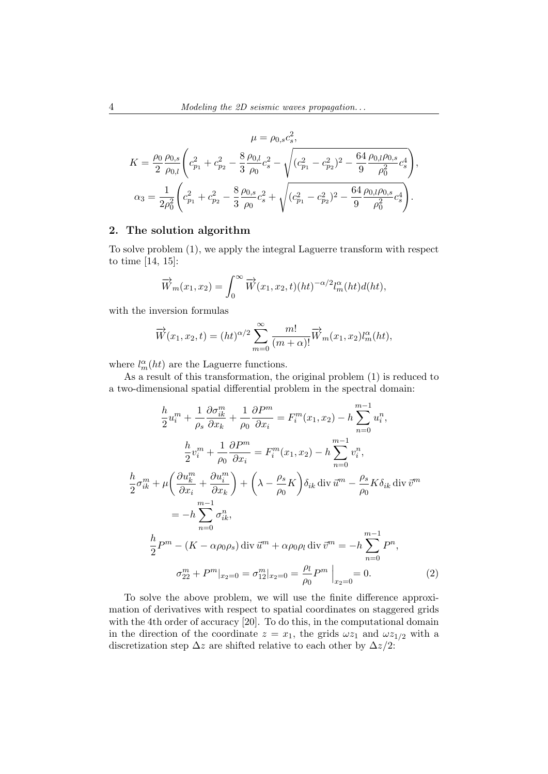$$
\mu = \rho_{0,s} c_s^2,
$$
  
\n
$$
K = \frac{\rho_0}{2} \frac{\rho_{0,s}}{\rho_{0,l}} \left( c_{p_1}^2 + c_{p_2}^2 - \frac{8}{3} \frac{\rho_{0,l}}{\rho_0} c_s^2 - \sqrt{(c_{p_1}^2 - c_{p_2}^2)^2 - \frac{64}{9} \frac{\rho_{0,l}\rho_{0,s}}{\rho_0^2} c_s^4} \right),
$$
  
\n
$$
\alpha_3 = \frac{1}{2\rho_0^2} \left( c_{p_1}^2 + c_{p_2}^2 - \frac{8}{3} \frac{\rho_{0,s}}{\rho_0} c_s^2 + \sqrt{(c_{p_1}^2 - c_{p_2}^2)^2 - \frac{64}{9} \frac{\rho_{0,l}\rho_{0,s}}{\rho_0^2} c_s^4} \right).
$$

## 2. The solution algorithm

To solve problem (1), we apply the integral Laguerre transform with respect to time [14, 15]:

$$
\overrightarrow{W}_m(x_1, x_2) = \int_0^\infty \overrightarrow{W}(x_1, x_2, t) (ht)^{-\alpha/2} l_m^{\alpha}(ht) d(ht),
$$

with the inversion formulas

$$
\overrightarrow{W}(x_1, x_2, t) = (ht)^{\alpha/2} \sum_{m=0}^{\infty} \frac{m!}{(m+\alpha)!} \overrightarrow{W}_m(x_1, x_2) l_m^{\alpha}(ht),
$$

where  $l_m^{\alpha}(ht)$  are the Laguerre functions.

As a result of this transformation, the original problem (1) is reduced to a two-dimensional spatial differential problem in the spectral domain:

$$
\frac{h}{2}u_i^m + \frac{1}{\rho_s} \frac{\partial \sigma_{ik}^m}{\partial x_k} + \frac{1}{\rho_0} \frac{\partial P^m}{\partial x_i} = F_i^m(x_1, x_2) - h \sum_{n=0}^{m-1} u_i^n,
$$
\n
$$
\frac{h}{2}v_i^m + \frac{1}{\rho_0} \frac{\partial P^m}{\partial x_i} = F_i^m(x_1, x_2) - h \sum_{n=0}^{m-1} v_i^n,
$$
\n
$$
\frac{h}{2} \sigma_{ik}^m + \mu \left(\frac{\partial u_k^m}{\partial x_i} + \frac{\partial u_i^m}{\partial x_k}\right) + \left(\lambda - \frac{\rho_s}{\rho_0} K\right) \delta_{ik} \operatorname{div} \vec{u}^m - \frac{\rho_s}{\rho_0} K \delta_{ik} \operatorname{div} \vec{v}^m
$$
\n
$$
= -h \sum_{n=0}^{m-1} \sigma_{ik}^n,
$$
\n
$$
\frac{h}{2} P^m - (K - \alpha \rho_0 \rho_s) \operatorname{div} \vec{u}^m + \alpha \rho_0 \rho_l \operatorname{div} \vec{v}^m = -h \sum_{n=0}^{m-1} P^n,
$$
\n
$$
\sigma_{22}^m + P^m|_{x_2=0} = \sigma_{12}^m|_{x_2=0} = \frac{\rho_l}{\rho_0} P^m|_{x_2=0} = 0.
$$
\n(2)

To solve the above problem, we will use the finite difference approximation of derivatives with respect to spatial coordinates on staggered grids with the 4th order of accuracy [20]. To do this, in the computational domain in the direction of the coordinate  $z = x_1$ , the grids  $\omega z_1$  and  $\omega z_{1/2}$  with a discretization step  $\Delta z$  are shifted relative to each other by  $\Delta z/2$ :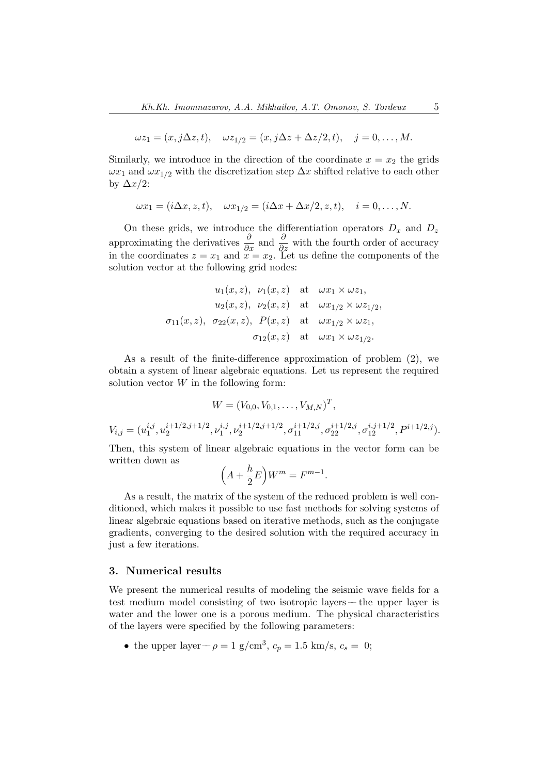$$
\omega z_1 = (x, j\Delta z, t), \quad \omega z_{1/2} = (x, j\Delta z + \Delta z/2, t), \quad j = 0, \dots, M.
$$

Similarly, we introduce in the direction of the coordinate  $x = x_2$  the grids  $\omega x_1$  and  $\omega x_{1/2}$  with the discretization step  $\Delta x$  shifted relative to each other by  $\Delta x/2$ :

$$
\omega x_1 = (i\Delta x, z, t), \quad \omega x_{1/2} = (i\Delta x + \Delta x/2, z, t), \quad i = 0, \dots, N.
$$

On these grids, we introduce the differentiation operators  $D_x$  and  $D_z$ approximating the derivatives  $\frac{\partial}{\partial x}$  and  $\frac{\partial}{\partial z}$  with the fourth order of accuracy in the coordinates  $z = x_1$  and  $x = x_2$ . Let us define the components of the solution vector at the following grid nodes:

$$
u_1(x, z), \quad\nu_1(x, z) \quad \text{at} \quad\n\omega x_1 \times \omega z_1,
$$
\n
$$
u_2(x, z), \quad\nu_2(x, z) \quad \text{at} \quad\n\omega x_{1/2} \times \omega z_{1/2},
$$
\n
$$
\sigma_{11}(x, z), \quad\n\sigma_{22}(x, z), \quad\nP(x, z) \quad \text{at} \quad\n\omega x_{1/2} \times \omega z_1,
$$
\n
$$
\sigma_{12}(x, z) \quad \text{at} \quad\n\omega x_1 \times \omega z_{1/2}.
$$

As a result of the finite-difference approximation of problem (2), we obtain a system of linear algebraic equations. Let us represent the required solution vector  $W$  in the following form:

$$
W = (V_{0,0}, V_{0,1}, \ldots, V_{M,N})^T,
$$

 $V_{i,j} = (u_1^{i,j})$  $i,j \n<sub>1</sub>\n<sub>1</sub>\n<sub>1</sub>\n<sub>2</sub>\n<sub>1</sub>\n<sub>1</sub>\n<sub>2</sub>\n$  $\frac{i+1/2,j+1/2}{2}, \nu_1^{i,j}$  $i,j \choose 1}, \nu_2^{i+1/2,j+1/2}$  $\sigma_{12}^{i+1/2,j+1/2}, \sigma_{11}^{i+1/2,j}, \sigma_{22}^{i+1/2,j}, \sigma_{12}^{i,j+1/2}, P^{i+1/2,j}).$ 

Then, this system of linear algebraic equations in the vector form can be written down as

$$
\left(A + \frac{h}{2}E\right)W^m = F^{m-1}.
$$

As a result, the matrix of the system of the reduced problem is well conditioned, which makes it possible to use fast methods for solving systems of linear algebraic equations based on iterative methods, such as the conjugate gradients, converging to the desired solution with the required accuracy in just a few iterations.

#### 3. Numerical results

We present the numerical results of modeling the seismic wave fields for a test medium model consisting of two isotropic layers –– the upper layer is water and the lower one is a porous medium. The physical characteristics of the layers were specified by the following parameters:

• the upper layer –  $\rho = 1$  g/cm<sup>3</sup>,  $c_p = 1.5$  km/s,  $c_s = 0$ ;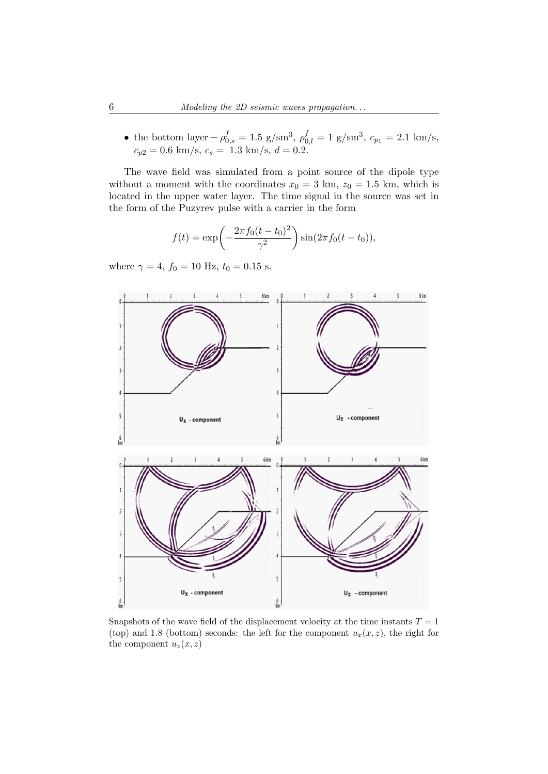• the bottom layer –  $\rho_{0,s}^f = 1.5 \text{ g/sm}^3$ ,  $\rho_{0,l}^f = 1 \text{ g/sm}^3$ ,  $c_{p_1} = 2.1 \text{ km/s}$ ,  $c_{p2} = 0.6$  km/s,  $c_s = 1.3$  km/s,  $d = 0.2$ .

The wave field was simulated from a point source of the dipole type without a moment with the coordinates  $x_0 = 3$  km,  $z_0 = 1.5$  km, which is located in the upper water layer. The time signal in the source was set in the form of the Puzyrev pulse with a carrier in the form

$$
f(t) = \exp\left(-\frac{2\pi f_0(t - t_0)^2}{\gamma^2}\right)\sin(2\pi f_0(t - t_0)),
$$

where  $\gamma = 4$ ,  $f_0 = 10$  Hz,  $t_0 = 0.15$  s.



Snapshots of the wave field of the displacement velocity at the time instants  $T = 1$ (top) and 1.8 (bottom) seconds: the left for the component  $u_x(x, z)$ , the right for the component  $u_z(x, z)$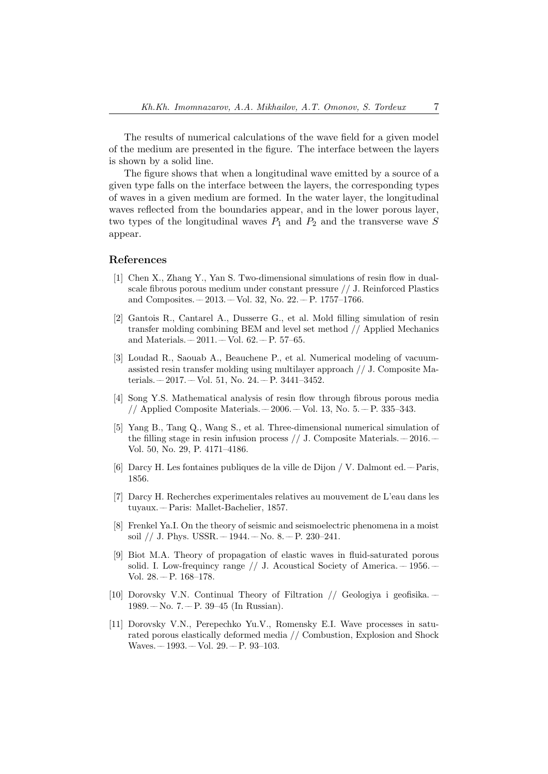The results of numerical calculations of the wave field for a given model of the medium are presented in the figure. The interface between the layers is shown by a solid line.

The figure shows that when a longitudinal wave emitted by a source of a given type falls on the interface between the layers, the corresponding types of waves in a given medium are formed. In the water layer, the longitudinal waves reflected from the boundaries appear, and in the lower porous layer, two types of the longitudinal waves  $P_1$  and  $P_2$  and the transverse wave S appear.

#### References

- [1] Chen X., Zhang Y., Yan S. Two-dimensional simulations of resin flow in dualscale fibrous porous medium under constant pressure // J. Reinforced Plastics and Composites. –– 2013. –– Vol. 32, No. 22. –– P. 1757–1766.
- [2] Gantois R., Cantarel A., Dusserre G., et al. Mold filling simulation of resin transfer molding combining BEM and level set method // Applied Mechanics and Materials.  $-2011. -$  Vol. 62.  $-$  P. 57–65.
- [3] Loudad R., Saouab A., Beauchene P., et al. Numerical modeling of vacuumassisted resin transfer molding using multilayer approach // J. Composite Materials.  $-2017. -$  Vol. 51, No. 24.  $-$  P. 3441-3452.
- [4] Song Y.S. Mathematical analysis of resin flow through fibrous porous media // Applied Composite Materials.  $-2006 -$  Vol. 13, No. 5.  $-$  P. 335–343.
- [5] Yang B., Tang Q., Wang S., et al. Three-dimensional numerical simulation of the filling stage in resin infusion process // J. Composite Materials.  $-2016$ . Vol. 50, No. 29, P. 4171–4186.
- [6] Darcy H. Les fontaines publiques de la ville de Dijon / V. Dalmont ed. –– Paris, 1856.
- [7] Darcy H. Recherches experimentales relatives au mouvement de L'eau dans les tuyaux. –– Paris: Mallet-Bachelier, 1857.
- [8] Frenkel Ya.I. On the theory of seismic and seismoelectric phenomena in a moist soil // J. Phys. USSR. –– 1944. –– No. 8. –– P. 230–241.
- [9] Biot M.A. Theory of propagation of elastic waves in fluid-saturated porous solid. I. Low-frequincy range  $//$  J. Acoustical Society of America.  $-1956$ . Vol. 28. – P. 168-178.
- [10] Dorovsky V.N. Continual Theory of Filtration // Geologiya i geofisika. ––  $1989. -$  No. 7. – P. 39–45 (In Russian).
- [11] Dorovsky V.N., Perepechko Yu.V., Romensky E.I. Wave processes in saturated porous elastically deformed media // Combustion, Explosion and Shock Waves. –– 1993. –– Vol. 29. –– P. 93–103.